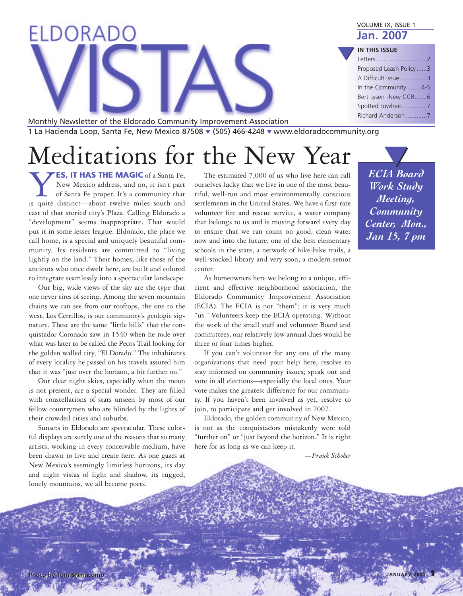| ELDORADO                                                             | VOLUME IX, ISSUE 1<br><b>Jan. 2007</b> |
|----------------------------------------------------------------------|----------------------------------------|
|                                                                      | <b>IN THIS ISSUE</b>                   |
|                                                                      | Letters                                |
|                                                                      | Proposed Leash Policy3                 |
|                                                                      | A Difficult Issue3                     |
|                                                                      | In the Community 4-5                   |
|                                                                      | Bert Lysen -New CCR6                   |
|                                                                      | Spotted Towhee7                        |
| Monthly Newsletter of the Eldorado Community Improvement Association | Richard Anderson 7                     |

1 La Hacienda Loop, Santa Fe, New Mexico 87508 **▼** (505) 466-4248 **▼** www.eldoradocommunity.org

# Meditations for the New Year

**YES, IT HAS THE MAGIC** of a Santa Fe,<br>New Mexico address, and no, it isn't part<br>of Santa Fe proper. It's a community that<br>is quite distinct—about twelve miles south and New Mexico address, and no, it isn't part of Santa Fe proper. It's a community that is quite distinct—about twelve miles south and east of that storied city's Plaza. Calling Eldorado a "development" seems inappropriate. That would put it in some lesser league. Eldorado, the place we call home, is a special and uniquely beautiful community. Its residents are committed to "living lightly on the land." Their homes, like those of the ancients who once dwelt here, are built and colored to integrate seamlessly into a spectacular landscape.

Our big, wide views of the sky are the type that one never tires of seeing. Among the seven mountain chains we can see from our rooftops, the one to the west, Los Cerrillos, is our community's geologic signature. These are the same "little hills" that the conquistador Coronado saw in 1540 when he rode over what was later to be called the Pecos Trail looking for the golden walled city, "El Dorado." The inhabitants of every locality he passed on his travels assured him that it was "just over the horizon, a bit further on."

Our clear night skies, especially when the moon is not present, are a special wonder. They are filled with constellations of stars unseen by most of our fellow countrymen who are blinded by the lights of their crowded cities and suburbs.

Sunsets in Eldorado are spectacular. These colorful displays are surely one of the reasons that so many artists, working in every conceivable medium, have been drawn to live and create here. As one gazes at New Mexico's seemingly limitless horizons, its day and night vistas of light and shadow, its rugged, lonely mountains, we all become poets.

The estimated 7,000 of us who live here can call ourselves lucky that we live in one of the most beautiful, well-run and most environmentally conscious settlements in the United States. We have a first-rate volunteer fire and rescue service, a water company that belongs to us and is moving forward every day to ensure that we can count on good, clean water now and into the future, one of the best elementary schools in the state, a network of hike-bike trails, a well-stocked library and very soon, a modern senior center.

As homeowners here we belong to a unique, efficient and effective neighborhood association, the Eldorado Community Improvement Association (ECIA). The ECIA is not "them"; it is very much "us." Volunteers keep the ECIA operating. Without the work of the small staff and volunteer Board and committees, our relatively low annual dues would be three or four times higher.

If you can't volunteer for any one of the many organizations that need your help here, resolve to stay informed on community issues; speak out and vote in all elections—especially the local ones. Your vote makes the greatest difference for our community. If you haven't been involved as yet, resolve to join, to participate and get involved in 2007.

Eldorado, the golden community of New Mexico, is not as the conquistadors mistakenly were told "further on" or "just beyond the horizon." It is right here for as long as we can keep it.

*—Frank Schober*

*ECIA Board Work Study Meeting, Community Center, Mon., Jan 15, 7 pm* **▼**

**JANUARY <sup>2007</sup> 1**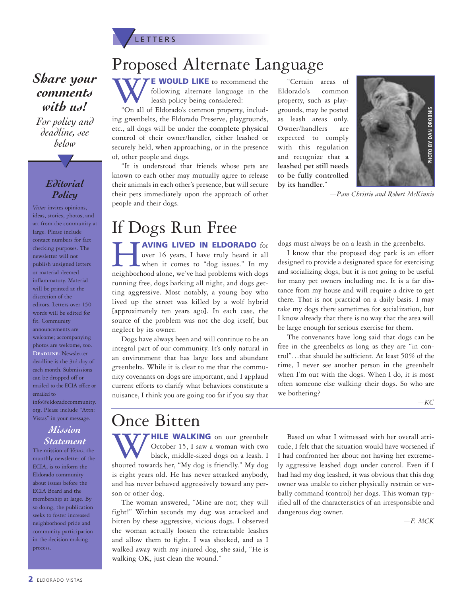

### *Share your comments with us!*

*For policy and deadline, see below*

**▼**

#### *Editorial Policy*

*Vistas* invites opinions, ideas, stories, photos, and art from the community at large. Please include contact numbers for fact checking purposes. The newsletter will not publish unsigned letters or material deemed inflammatory. Material will be printed at the discretion of the editors. Letters over 150 words will be edited for fit. Community announcements are welcome; accompanying photos are welcome, too. **Deadline:** Newsletter deadline is the 3rd day of each month. Submissions can be dropped off or mailed to the ECIA office or emailed to info@eldoradocommunity. org. Please include "Attn: Vistas" in your message.

#### *Mission Statement*

The mission of *Vistas*, the monthly newsletter of the ECIA, is to inform the Eldorado community about issues before the ECIA Board and the membership at large. By so doing, the publication seeks to foster increased neighborhood pride and community participation in the decision making process.

### Proposed Alternate Language

**WWWE EXECULD LIKE** to recommend the following alternate language in the leash policy being considered:<br>"On all of Eldorado's common property, includfollowing alternate language in the leash policy being considered:

ing greenbelts, the Eldorado Preserve, playgrounds, etc., all dogs will be under the **complete physical control** of their owner/handler, either leashed or securely held, when approaching, or in the presence of, other people and dogs.

"It is understood that friends whose pets are known to each other may mutually agree to release their animals in each other's presence, but will secure their pets immediately upon the approach of other people and their dogs.

"Certain areas of Eldorado's common property, such as playgrounds, may be posted as leash areas only. Owner/handlers are expected to comply with this regulation and recognize that **a leashed pet still needs to be fully controlled by its handler.**"



*—Pam Christie and Robert McKinnie*

### If Dogs Run Free

**HAVING LIVED IN ELDORADO** for over 16 years, I have truly heard it all when it comes to "dog issues." In my neighborhood alone, we've had problems with dogs over 16 years, I have truly heard it all when it comes to "dog issues." In my running free, dogs barking all night, and dogs getting aggressive. Most notably, a young boy who lived up the street was killed by a wolf hybrid [approximately ten years ago]. In each case, the source of the problem was not the dog itself, but neglect by its owner.

Dogs have always been and will continue to be an integral part of our community. It's only natural in an environment that has large lots and abundant greenbelts. While it is clear to me that the community covenants on dogs are important, and I applaud current efforts to clarify what behaviors constitute a nuisance, I think you are going too far if you say that dogs must always be on a leash in the greenbelts.

I know that the proposed dog park is an effort designed to provide a designated space for exercising and socializing dogs, but it is not going to be useful for many pet owners including me. It is a far distance from my house and will require a drive to get there. That is not practical on a daily basis. I may take my dogs there sometimes for socialization, but I know already that there is no way that the area will be large enough for serious exercise for them.

The convenants have long said that dogs can be free in the greenbelts as long as they are "in control"…that should be sufficient. At least 50% of the time, I never see another person in the greenbelt when I'm out with the dogs. When I do, it is most often someone else walking their dogs. So who are we bothering?

*—KC*

### Once Bitten

**WALKING** on our greenbelt<br>
October 15, I saw a woman with two<br>
shouted towards her, "My dog is friendly." My dog October 15, I saw a woman with two black, middle-sized dogs on a leash. I is eight years old. He has never attacked anybody, and has never behaved aggressively toward any person or other dog.

The woman answered, "Mine are not; they will fight!" Within seconds my dog was attacked and bitten by these aggressive, vicious dogs. I observed the woman actually loosen the retractable leashes and allow them to fight. I was shocked, and as I walked away with my injured dog, she said, "He is walking OK, just clean the wound."

Based on what I witnessed with her overall attitude, I felt that the situation would have worsened if I had confronted her about not having her extremely aggressive leashed dogs under control. Even if I had had my dog leashed, it was obvious that this dog owner was unable to either physically restrain or verbally command (control) her dogs. This woman typified all of the characteristics of an irresponsible and dangerous dog owner.

*—F. MCK*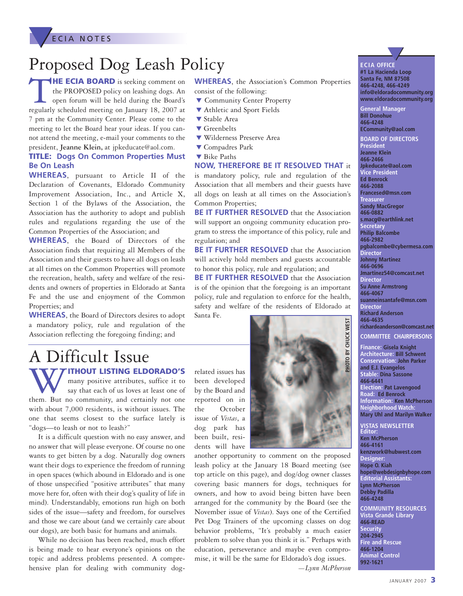**ECIA NOTES** 

## Proposed Dog Leash Policy

T**HE ECIA BOARD** is seeking comment on the PROPOSED policy on leashing dogs. An open forum will be held during the Board's regularly scheduled meeting on January 18, 2007 at 7 pm at the Community Center. Please come to the meeting to let the Board hear your ideas. If you cannot attend the meeting, e-mail your comments to the president, **Jeanne Klein,** at jpkeducate@aol.com.

#### **TITLE: Dogs On Common Properties Must Be On Leash**

**WHEREAS**, pursuant to Article II of the Declaration of Covenants, Eldorado Community Improvement Association, Inc., and Article X, Section 1 of the Bylaws of the Association, the Association has the authority to adopt and publish rules and regulations regarding the use of the Common Properties of the Association; and

**WHEREAS**, the Board of Directors of the Association finds that requiring all Members of the Association and their guests to have all dogs on leash at all times on the Common Properties will promote the recreation, health, safety and welfare of the residents and owners of properties in Eldorado at Santa Fe and the use and enjoyment of the Common Properties; and

**WHEREAS**, the Board of Directors desires to adopt a mandatory policy, rule and regulation of the Association reflecting the foregoing finding; and

## A Difficult Issue

**WITHOUT LISTING ELDORADO'S**<br>
say that each of us loves at least one of<br>
them. But no community, and certainly not one many positive attributes, suffice it to say that each of us loves at least one of

with about 7,000 residents, is without issues. The one that seems closest to the surface lately is "dogs—to leash or not to leash?"

It is a difficult question with no easy answer, and no answer that will please everyone. Of course no one wants to get bitten by a dog. Naturally dog owners want their dogs to experience the freedom of running in open spaces (which abound in Eldorado and is one of those unspecified "positive attributes" that many move here for, often with their dog's quality of life in mind). Understandably, emotions run high on both sides of the issue—safety and freedom, for ourselves and those we care about (and we certainly care about our dogs), are both basic for humans and animals.

While no decision has been reached, much effort is being made to hear everyone's opinions on the topic and address problems presented. A comprehensive plan for dealing with community dogrelated issues has been developed by the Board and reported on in the October issue of *Vistas*, a dog park has been built, residents will have



**WHEREAS**, the Association's Common Properties

**NOW, THEREFORE BE IT RESOLVED THAT** it is mandatory policy, rule and regulation of the Association that all members and their guests have all dogs on leash at all times on the Association's

**BE IT FURTHER RESOLVED** that the Association will support an ongoing community education program to stress the importance of this policy, rule and

**BE IT FURTHER RESOLVED** that the Association will actively hold members and guests accountable to honor this policy, rule and regulation; and **BE IT FURTHER RESOLVED** that the Association is of the opinion that the foregoing is an important policy, rule and regulation to enforce for the health, safety and welfare of the residents of Eldorado at

consist of the following:

**▼** Stable Area **▼** Greenbelts

**▼** Compadres Park **▼** Bike Paths

Common Properties;

regulation; and

Santa Fe.

**▼** Community Center Property **▼** Athletic and Sport Fields

**▼** Wilderness Preserve Area

another opportunity to comment on the proposed leash policy at the January 18 Board meeting (see top article on this page), and dog/dog owner classes covering basic manners for dogs, techniques for owners, and how to avoid being bitten have been arranged for the community by the Board (see the November issue of *Vistas*). Says one of the Certified Pet Dog Trainers of the upcoming classes on dog behavior problems, "It's probably a much easier problem to solve than you think it is." Perhaps with education, perseverance and maybe even compromise, it will be the same for Eldorado's dog issues. *—Lynn McPherson*

**ECIA OFFI CE ▼**

**#1 La Hacienda Loop Santa Fe, NM 87508 466-4248, 466-4249 info@eldoradocommunity.org www.eldoradocommunity.org**

**General Manager Bill Donohue 466-4248 ECommunity@aol.com**

**BOARD OF DIRECTORS President Jeanne Klein 466-2466 Jpkeducate@aol.com Vice President Ed Benrock 466-2088 Francesed@msn.com Treasurer Sandy MacGregor 466-0882 s.macg@earthlink.net Secretary Philip Balcombe 466-2982 pgbalcombe@cybermesa.com Director Johnny Martinez 466-0696 Jmartinez54@comcast.net Director Su Anne Armstrong 466-4067 suanneinsantafe@msn.com Director Richard Anderson 466-4635 richardeanderson@comcast.net COMMITTEE CHAIRPERSONS**

**Finance: Gisela Knight Architecture: Bill Schwent Conservation: John Parker and E.J. Evangelos Stable: Dina Sassone 466-6441 Election: Pat Lavengood Road: Ed Benrock Information: Ken McPherson Neighborhood Watch: Mary Uhl and Marilyn Walker**

**VISTAS NEWSLETTER Editor: Ken McPherson 466-4161 kenzwork@hubwest.com Designer: Hope O. Kiah hope@webdesignbyhope.com Editorial Assistants: Lynn McPherson Debby Padilla 466-4248 COMMUNITY RESOURCES Vista Grande Library 466-READ Security 204-2945 Fire and Rescue**

**466-1204 Animal Control 992-1621**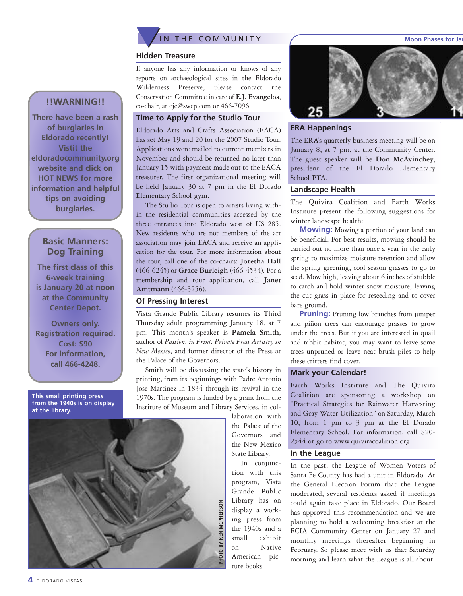

#### **Hidden Treasure**

If anyone has any information or knows of any reports on archaeological sites in the Eldorado Wilderness Preserve, please contact the Conservation Committee in care of **E.J. Evangelos**, co-chair, at eje@swcp.com or 466-7096.

#### **Time to Apply for the Studio Tour**

Eldorado Arts and Crafts Association (EACA) has set May 19 and 20 for the 2007 Studio Tour. Applications were mailed to current members in November and should be returned no later than January 15 with payment made out to the EACA treasurer. The first organizational meeting will be held January 30 at 7 pm in the El Dorado Elementary School gym.

The Studio Tour is open to artists living within the residential communities accessed by the three entrances into Eldorado west of US 285. New residents who are not members of the art association may join EACA and receive an application for the tour. For more information about the tour, call one of the co-chairs: **Joretha Hall** (466-6245) or **Grace Burleigh** (466-4534). For a membership and tour application, call **Janet Amtmann** (466-3256).

#### **Of Pressing Interest**

Vista Grande Public Library resumes its Third Thursday adult programming January 18, at 7 pm. This month's speaker is **Pamela Smith**, author of *Passions in Print: Private Press Artistry in New Mexico*, and former director of the Press at the Palace of the Governors.

Smith will be discussing the state's history in printing, from its beginnings with Padre Antonio Jose Martinez in 1834 through its revival in the 1970s. The program is funded by a grant from the Institute of Museum and Library Services, in col-

laboration with the Palace of the Governors and the New Mexico State Library.

In conjunction with this program, Vista Grande Public Library has on display a working press from the 1940s and a small exhibit on Native American picture books.



#### **ERA Happenings**

The ERA's quarterly business meeting will be on January 8, at 7 pm, at the Community Center. The guest speaker will be **Don McAvinchey**, president of the El Dorado Elementary School PTA.

#### **Landscape Health**

The Quivira Coalition and Earth Works Institute present the following suggestions for winter landscape health:

**Mowing:** Mowing a portion of your land can be beneficial. For best results, mowing should be carried out no more than once a year in the early spring to maximize moisture retention and allow the spring greening, cool season grasses to go to seed. Mow high, leaving about 6 inches of stubble to catch and hold winter snow moisture, leaving the cut grass in place for reseeding and to cover bare ground.

**Pruning:** Pruning low branches from juniper and piñon trees can encourage grasses to grow under the trees. But if you are interested in quail and rabbit habitat, you may want to leave some trees unpruned or leave neat brush piles to help these critters find cover.

#### **Mark your Calendar!**

Earth Works Institute and The Quivira Coalition are sponsoring a workshop on "Practical Strategies for Rainwater Harvesting and Gray Water Utilization" on Saturday, March 10, from 1 pm to 3 pm at the El Dorado Elementary School. For information, call 820- 2544 or go to www.quiviracoalition.org.

#### **In the League**

In the past, the League of Women Voters of Santa Fe County has had a unit in Eldorado. At the General Election Forum that the League moderated, several residents asked if meetings could again take place in Eldorado. Our Board has approved this recommendation and we are planning to hold a welcoming breakfast at the ECIA Community Center on January 27 and monthly meetings thereafter beginning in February. So please meet with us that Saturday morning and learn what the League is all about.

#### **!!WARNING!!**

**There have been a rash of burglaries in Eldorado recently! Vistit the eldoradocommunity.org website and click on HOT NEWS for more information and helpful tips on avoiding burglaries.**

#### **Basic Manners: Dog Training**

**The first class of this 6-week training is January 20 at noon at the Community Center Depot.**

**Owners only. Registration required. Cost: \$90 For information, call 466-4248.**

**This small printing press from the 1940s is on display at the library.**

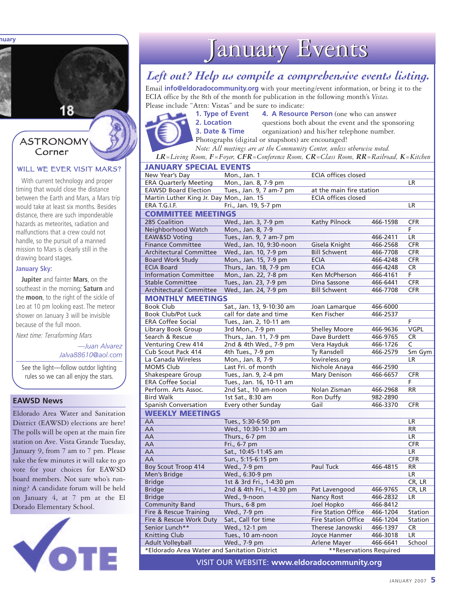**Moon Phases for January**

#### ASTRONOMY Corner

#### WILL WE EVER VISIT MARS?

With current technology and proper timing that would close the distance between the Earth and Mars, a Mars trip would take at least six months. Besides distance, there are such imponderable hazards as meteorites, radiation and malfunctions that a crew could not handle, so the pursuit of a manned mission to Mars is clearly still in the drawing board stages.

#### **January Sky:**

**Jupiter** and fainter **Mars**, on the southeast in the morning; **Saturn** and the **moon**, to the right of the sickle of Leo at 10 pm looking east. The meteor shower on January 3 will be invisible because of the full moon.

Next time: Terraforming Mars

*—Juan Alvarez Jalva88610@aol.com*

See the light—follow outdor lighting rules so we can all enjoy the stars.

#### **EAWSD News**

Eldorado Area Water and Sanitation District (EAWSD) elections are here! The polls will be open at the main fire station on Ave. Vista Grande Tuesday, January 9, from 7 am to 7 pm. Please take the few minutes it will take to go vote for your choices for EAWSD board members. Not sure who's running? A candidate forum will be held on January 4, at 7 pm at the El Dorado Elementary School.



## January Events

#### *Left out? Help us compile a comprehensive events listing.*

Email **info@eldoradocommunity.org** with your meeting/event information, or bring it to the ECIA office by the 8th of the month for publication in the following month's *Vistas.* Please include "Attn: Vistas" and be sure to indicate:

**1. Type of Event 4. A Resource Person** (one who can answer **2. Location** questions both about the event and the sponsoring **3. Date & Time** organization) and his/her telephone number. Photographs (digital or snapshots) are encouraged!

*Note: All meetings are at the Community Center, unless otherwise noted.*

*LR=Living Room, F=Foyer, CFR=Conference Room, CR=Class Room, RR=Railroad, K=Kitchen*

| <b>ECIA offices closed</b><br>New Year's Day<br>Mon., Jan. 1<br><b>ERA Quarterly Meeting</b><br>Mon., Jan. 8, 7-9 pm<br>LR.<br><b>EAWSD Board Election</b><br>Tues., Jan. 9, 7 am-7 pm<br>at the main fire station<br><b>ECIA offices closed</b><br>Martin Luther King Jr. Day Mon., Jan. 15<br>Fri., Jan. 19, 5-7 pm<br><b>LR</b><br>ERA T.G.I.F.<br><b>COMMITTEE MEETINGS</b><br>285 Coalition<br>Wed., Jan. 3, 7-9 pm<br>Kathy Pilnock<br>466-1598<br><b>CFR</b><br>Neighborhood Watch<br>Mon., Jan. 8, 7-9<br>F<br>Tues., Jan. 9, 7 am-7 pm<br><b>EAW&amp;SD Voting</b><br>466-2411<br>LR<br><b>Finance Committee</b><br>Wed., Jan. 10, 9:30-noon<br>466-2568<br><b>CFR</b><br>Gisela Knight<br><b>Bill Schwent</b><br><b>Architectural Committee</b><br>Wed., Jan. 10, 7-9 pm<br><b>CFR</b><br>466-7708<br><b>Board Work Study</b><br>Mon., Jan. 15, 7-9 pm<br><b>ECIA</b><br><b>CFR</b><br>466-4248<br><b>ECIA Board</b><br>Thurs., Jan. 18, 7-9 pm<br><b>CR</b><br><b>ECIA</b><br>466-4248<br><b>Information Committee</b><br>Mon., Jan. 22, 7-8 pm<br>Ken McPherson<br>466-4161<br>F<br><b>CFR</b><br><b>Stable Committee</b><br>Tues., Jan. 23, 7-9 pm<br>Dina Sassone<br>466-6441<br><b>Architectural Committee</b><br>Wed., Jan. 24, 7-9 pm<br><b>Bill Schwent</b><br><b>CFR</b><br>466-7708<br><b>MONTHLY MEETINGS</b><br><b>Book Club</b><br>Sat., Jan. 13, 9-10:30 am<br>Joan Lamarque<br>466-6000<br><b>Book Club/Pot Luck</b><br>call for date and time<br>Ken Fischer<br>466-2537<br><b>ERA Coffee Social</b><br>Tues., Jan. 2, 10-11 am<br>F<br>Library Book Group<br><b>Shelley Moore</b><br><b>VGPL</b><br>3rd Mon., 7-9 pm<br>466-9636<br>Search & Rescue<br>Thurs., Jan. 11, 7-9 pm<br>Dave Burdett<br>466-9765<br><b>CR</b><br>2nd & 4th Wed., 7-9 pm<br>C<br>Venturing Crew 414<br>Vera Hayduk<br>466-1726<br>Cub Scout Pack 414<br>4th Tues., 7-9 pm<br>Ty Ransdell<br>Sm Gym<br>466-2579<br>La Canada Wireless<br>Mon., Jan. 8, 7-9<br>lcwireless.org<br>LR<br>Last Fri. of month<br><b>MOMS Club</b><br>Nichole Anaya<br>466-2590<br>Mary Denison<br>Shakespeare Group<br>Tues., Jan. 9, 2-4 pm<br>466-6657<br><b>CFR</b><br><b>ERA Coffee Social</b><br>Tues., Jan. 16, 10-11 am<br>F<br>Perform. Arts Assoc.<br>2nd Sat., 10 am-noon<br>Nolan Zisman<br>466-2968<br><b>RR</b><br><b>Bird Walk</b><br>1st Sat., 8:30 am<br>982-2890<br>Ron Duffy<br>Spanish Conversation<br>Every other Sunday<br>Gail<br>466-3370<br><b>CFR</b><br><b>WEEKLY MEETINGS</b><br>Tues., 5:30-6:50 pm<br>AA<br><b>LR</b><br>Wed., 10:30-11:30 am<br>AA<br><b>RR</b><br>AA<br>Thurs., 6-7 pm<br><b>LR</b><br>AA<br><b>CFR</b><br>Fri., 6-7 pm<br>Sat., 10:45-11:45 am<br>LR<br>AA<br>AA<br>Sun., 5:15-6:15 pm<br><b>CFR</b><br><b>RR</b><br>Boy Scout Troop 414<br>Wed., 7-9 pm<br>Paul Tuck<br>466-4815<br>Men's Bridge<br>Wed., 6:30-9 pm<br>LR<br><b>Bridge</b><br>1st & 3rd Fri., 1-4:30 pm<br>CR, LR<br><b>Bridge</b><br>Pat Lavengood<br>2nd & 4th Fri., 1-4:30 pm<br>466-9765<br>CR, LR<br><b>Bridge</b><br>Wed., 9-noon<br><b>Nancy Rost</b><br>466-2832<br>LR.<br><b>Community Band</b><br>Thurs., 6-8 pm<br>Joel Hopko<br>466-8412<br><b>Fire Station Office</b><br>Wed., 7-9 pm<br>466-1204<br>Fire & Rescue Training<br>Station<br>Sat., Call for time<br><b>Fire Station Office</b><br>Station<br>Fire & Rescue Work Duty<br>466-1204<br>Senior Lunch**<br>Wed., 12-1 pm<br>466-1397<br><b>CR</b><br>Therese Janowski<br>Tues., 10 am-noon<br><b>LR</b><br><b>Knitting Club</b><br>Joyce Hanmer<br>466-3018<br><b>Adult Volleyball</b><br>Wed., 7-9 pm<br><b>Arlene Mayer</b><br>466-6641<br>School<br>*Eldorado Area Water and Sanitation District<br>**Reservations Required | JANUARY SPECIAL EVENTS |  |  |  |  |  |  |
|----------------------------------------------------------------------------------------------------------------------------------------------------------------------------------------------------------------------------------------------------------------------------------------------------------------------------------------------------------------------------------------------------------------------------------------------------------------------------------------------------------------------------------------------------------------------------------------------------------------------------------------------------------------------------------------------------------------------------------------------------------------------------------------------------------------------------------------------------------------------------------------------------------------------------------------------------------------------------------------------------------------------------------------------------------------------------------------------------------------------------------------------------------------------------------------------------------------------------------------------------------------------------------------------------------------------------------------------------------------------------------------------------------------------------------------------------------------------------------------------------------------------------------------------------------------------------------------------------------------------------------------------------------------------------------------------------------------------------------------------------------------------------------------------------------------------------------------------------------------------------------------------------------------------------------------------------------------------------------------------------------------------------------------------------------------------------------------------------------------------------------------------------------------------------------------------------------------------------------------------------------------------------------------------------------------------------------------------------------------------------------------------------------------------------------------------------------------------------------------------------------------------------------------------------------------------------------------------------------------------------------------------------------------------------------------------------------------------------------------------------------------------------------------------------------------------------------------------------------------------------------------------------------------------------------------------------------------------------------------------------------------------------------------------------------------------------------------------------------------------------------------------------------------------------------------------------------------------------------------------------------------------------------------------------------------------------------------------------------------------------------------------------------------------------------------------------------------------------------------------------------------------------------------------------------------------------------------------------------------------------------------------------------------------------------------------------|------------------------|--|--|--|--|--|--|
|                                                                                                                                                                                                                                                                                                                                                                                                                                                                                                                                                                                                                                                                                                                                                                                                                                                                                                                                                                                                                                                                                                                                                                                                                                                                                                                                                                                                                                                                                                                                                                                                                                                                                                                                                                                                                                                                                                                                                                                                                                                                                                                                                                                                                                                                                                                                                                                                                                                                                                                                                                                                                                                                                                                                                                                                                                                                                                                                                                                                                                                                                                                                                                                                                                                                                                                                                                                                                                                                                                                                                                                                                                                                                                    |                        |  |  |  |  |  |  |
|                                                                                                                                                                                                                                                                                                                                                                                                                                                                                                                                                                                                                                                                                                                                                                                                                                                                                                                                                                                                                                                                                                                                                                                                                                                                                                                                                                                                                                                                                                                                                                                                                                                                                                                                                                                                                                                                                                                                                                                                                                                                                                                                                                                                                                                                                                                                                                                                                                                                                                                                                                                                                                                                                                                                                                                                                                                                                                                                                                                                                                                                                                                                                                                                                                                                                                                                                                                                                                                                                                                                                                                                                                                                                                    |                        |  |  |  |  |  |  |
|                                                                                                                                                                                                                                                                                                                                                                                                                                                                                                                                                                                                                                                                                                                                                                                                                                                                                                                                                                                                                                                                                                                                                                                                                                                                                                                                                                                                                                                                                                                                                                                                                                                                                                                                                                                                                                                                                                                                                                                                                                                                                                                                                                                                                                                                                                                                                                                                                                                                                                                                                                                                                                                                                                                                                                                                                                                                                                                                                                                                                                                                                                                                                                                                                                                                                                                                                                                                                                                                                                                                                                                                                                                                                                    |                        |  |  |  |  |  |  |
|                                                                                                                                                                                                                                                                                                                                                                                                                                                                                                                                                                                                                                                                                                                                                                                                                                                                                                                                                                                                                                                                                                                                                                                                                                                                                                                                                                                                                                                                                                                                                                                                                                                                                                                                                                                                                                                                                                                                                                                                                                                                                                                                                                                                                                                                                                                                                                                                                                                                                                                                                                                                                                                                                                                                                                                                                                                                                                                                                                                                                                                                                                                                                                                                                                                                                                                                                                                                                                                                                                                                                                                                                                                                                                    |                        |  |  |  |  |  |  |
|                                                                                                                                                                                                                                                                                                                                                                                                                                                                                                                                                                                                                                                                                                                                                                                                                                                                                                                                                                                                                                                                                                                                                                                                                                                                                                                                                                                                                                                                                                                                                                                                                                                                                                                                                                                                                                                                                                                                                                                                                                                                                                                                                                                                                                                                                                                                                                                                                                                                                                                                                                                                                                                                                                                                                                                                                                                                                                                                                                                                                                                                                                                                                                                                                                                                                                                                                                                                                                                                                                                                                                                                                                                                                                    |                        |  |  |  |  |  |  |
|                                                                                                                                                                                                                                                                                                                                                                                                                                                                                                                                                                                                                                                                                                                                                                                                                                                                                                                                                                                                                                                                                                                                                                                                                                                                                                                                                                                                                                                                                                                                                                                                                                                                                                                                                                                                                                                                                                                                                                                                                                                                                                                                                                                                                                                                                                                                                                                                                                                                                                                                                                                                                                                                                                                                                                                                                                                                                                                                                                                                                                                                                                                                                                                                                                                                                                                                                                                                                                                                                                                                                                                                                                                                                                    |                        |  |  |  |  |  |  |
|                                                                                                                                                                                                                                                                                                                                                                                                                                                                                                                                                                                                                                                                                                                                                                                                                                                                                                                                                                                                                                                                                                                                                                                                                                                                                                                                                                                                                                                                                                                                                                                                                                                                                                                                                                                                                                                                                                                                                                                                                                                                                                                                                                                                                                                                                                                                                                                                                                                                                                                                                                                                                                                                                                                                                                                                                                                                                                                                                                                                                                                                                                                                                                                                                                                                                                                                                                                                                                                                                                                                                                                                                                                                                                    |                        |  |  |  |  |  |  |
|                                                                                                                                                                                                                                                                                                                                                                                                                                                                                                                                                                                                                                                                                                                                                                                                                                                                                                                                                                                                                                                                                                                                                                                                                                                                                                                                                                                                                                                                                                                                                                                                                                                                                                                                                                                                                                                                                                                                                                                                                                                                                                                                                                                                                                                                                                                                                                                                                                                                                                                                                                                                                                                                                                                                                                                                                                                                                                                                                                                                                                                                                                                                                                                                                                                                                                                                                                                                                                                                                                                                                                                                                                                                                                    |                        |  |  |  |  |  |  |
|                                                                                                                                                                                                                                                                                                                                                                                                                                                                                                                                                                                                                                                                                                                                                                                                                                                                                                                                                                                                                                                                                                                                                                                                                                                                                                                                                                                                                                                                                                                                                                                                                                                                                                                                                                                                                                                                                                                                                                                                                                                                                                                                                                                                                                                                                                                                                                                                                                                                                                                                                                                                                                                                                                                                                                                                                                                                                                                                                                                                                                                                                                                                                                                                                                                                                                                                                                                                                                                                                                                                                                                                                                                                                                    |                        |  |  |  |  |  |  |
|                                                                                                                                                                                                                                                                                                                                                                                                                                                                                                                                                                                                                                                                                                                                                                                                                                                                                                                                                                                                                                                                                                                                                                                                                                                                                                                                                                                                                                                                                                                                                                                                                                                                                                                                                                                                                                                                                                                                                                                                                                                                                                                                                                                                                                                                                                                                                                                                                                                                                                                                                                                                                                                                                                                                                                                                                                                                                                                                                                                                                                                                                                                                                                                                                                                                                                                                                                                                                                                                                                                                                                                                                                                                                                    |                        |  |  |  |  |  |  |
|                                                                                                                                                                                                                                                                                                                                                                                                                                                                                                                                                                                                                                                                                                                                                                                                                                                                                                                                                                                                                                                                                                                                                                                                                                                                                                                                                                                                                                                                                                                                                                                                                                                                                                                                                                                                                                                                                                                                                                                                                                                                                                                                                                                                                                                                                                                                                                                                                                                                                                                                                                                                                                                                                                                                                                                                                                                                                                                                                                                                                                                                                                                                                                                                                                                                                                                                                                                                                                                                                                                                                                                                                                                                                                    |                        |  |  |  |  |  |  |
|                                                                                                                                                                                                                                                                                                                                                                                                                                                                                                                                                                                                                                                                                                                                                                                                                                                                                                                                                                                                                                                                                                                                                                                                                                                                                                                                                                                                                                                                                                                                                                                                                                                                                                                                                                                                                                                                                                                                                                                                                                                                                                                                                                                                                                                                                                                                                                                                                                                                                                                                                                                                                                                                                                                                                                                                                                                                                                                                                                                                                                                                                                                                                                                                                                                                                                                                                                                                                                                                                                                                                                                                                                                                                                    |                        |  |  |  |  |  |  |
|                                                                                                                                                                                                                                                                                                                                                                                                                                                                                                                                                                                                                                                                                                                                                                                                                                                                                                                                                                                                                                                                                                                                                                                                                                                                                                                                                                                                                                                                                                                                                                                                                                                                                                                                                                                                                                                                                                                                                                                                                                                                                                                                                                                                                                                                                                                                                                                                                                                                                                                                                                                                                                                                                                                                                                                                                                                                                                                                                                                                                                                                                                                                                                                                                                                                                                                                                                                                                                                                                                                                                                                                                                                                                                    |                        |  |  |  |  |  |  |
|                                                                                                                                                                                                                                                                                                                                                                                                                                                                                                                                                                                                                                                                                                                                                                                                                                                                                                                                                                                                                                                                                                                                                                                                                                                                                                                                                                                                                                                                                                                                                                                                                                                                                                                                                                                                                                                                                                                                                                                                                                                                                                                                                                                                                                                                                                                                                                                                                                                                                                                                                                                                                                                                                                                                                                                                                                                                                                                                                                                                                                                                                                                                                                                                                                                                                                                                                                                                                                                                                                                                                                                                                                                                                                    |                        |  |  |  |  |  |  |
|                                                                                                                                                                                                                                                                                                                                                                                                                                                                                                                                                                                                                                                                                                                                                                                                                                                                                                                                                                                                                                                                                                                                                                                                                                                                                                                                                                                                                                                                                                                                                                                                                                                                                                                                                                                                                                                                                                                                                                                                                                                                                                                                                                                                                                                                                                                                                                                                                                                                                                                                                                                                                                                                                                                                                                                                                                                                                                                                                                                                                                                                                                                                                                                                                                                                                                                                                                                                                                                                                                                                                                                                                                                                                                    |                        |  |  |  |  |  |  |
|                                                                                                                                                                                                                                                                                                                                                                                                                                                                                                                                                                                                                                                                                                                                                                                                                                                                                                                                                                                                                                                                                                                                                                                                                                                                                                                                                                                                                                                                                                                                                                                                                                                                                                                                                                                                                                                                                                                                                                                                                                                                                                                                                                                                                                                                                                                                                                                                                                                                                                                                                                                                                                                                                                                                                                                                                                                                                                                                                                                                                                                                                                                                                                                                                                                                                                                                                                                                                                                                                                                                                                                                                                                                                                    |                        |  |  |  |  |  |  |
|                                                                                                                                                                                                                                                                                                                                                                                                                                                                                                                                                                                                                                                                                                                                                                                                                                                                                                                                                                                                                                                                                                                                                                                                                                                                                                                                                                                                                                                                                                                                                                                                                                                                                                                                                                                                                                                                                                                                                                                                                                                                                                                                                                                                                                                                                                                                                                                                                                                                                                                                                                                                                                                                                                                                                                                                                                                                                                                                                                                                                                                                                                                                                                                                                                                                                                                                                                                                                                                                                                                                                                                                                                                                                                    |                        |  |  |  |  |  |  |
|                                                                                                                                                                                                                                                                                                                                                                                                                                                                                                                                                                                                                                                                                                                                                                                                                                                                                                                                                                                                                                                                                                                                                                                                                                                                                                                                                                                                                                                                                                                                                                                                                                                                                                                                                                                                                                                                                                                                                                                                                                                                                                                                                                                                                                                                                                                                                                                                                                                                                                                                                                                                                                                                                                                                                                                                                                                                                                                                                                                                                                                                                                                                                                                                                                                                                                                                                                                                                                                                                                                                                                                                                                                                                                    |                        |  |  |  |  |  |  |
|                                                                                                                                                                                                                                                                                                                                                                                                                                                                                                                                                                                                                                                                                                                                                                                                                                                                                                                                                                                                                                                                                                                                                                                                                                                                                                                                                                                                                                                                                                                                                                                                                                                                                                                                                                                                                                                                                                                                                                                                                                                                                                                                                                                                                                                                                                                                                                                                                                                                                                                                                                                                                                                                                                                                                                                                                                                                                                                                                                                                                                                                                                                                                                                                                                                                                                                                                                                                                                                                                                                                                                                                                                                                                                    |                        |  |  |  |  |  |  |
|                                                                                                                                                                                                                                                                                                                                                                                                                                                                                                                                                                                                                                                                                                                                                                                                                                                                                                                                                                                                                                                                                                                                                                                                                                                                                                                                                                                                                                                                                                                                                                                                                                                                                                                                                                                                                                                                                                                                                                                                                                                                                                                                                                                                                                                                                                                                                                                                                                                                                                                                                                                                                                                                                                                                                                                                                                                                                                                                                                                                                                                                                                                                                                                                                                                                                                                                                                                                                                                                                                                                                                                                                                                                                                    |                        |  |  |  |  |  |  |
|                                                                                                                                                                                                                                                                                                                                                                                                                                                                                                                                                                                                                                                                                                                                                                                                                                                                                                                                                                                                                                                                                                                                                                                                                                                                                                                                                                                                                                                                                                                                                                                                                                                                                                                                                                                                                                                                                                                                                                                                                                                                                                                                                                                                                                                                                                                                                                                                                                                                                                                                                                                                                                                                                                                                                                                                                                                                                                                                                                                                                                                                                                                                                                                                                                                                                                                                                                                                                                                                                                                                                                                                                                                                                                    |                        |  |  |  |  |  |  |
|                                                                                                                                                                                                                                                                                                                                                                                                                                                                                                                                                                                                                                                                                                                                                                                                                                                                                                                                                                                                                                                                                                                                                                                                                                                                                                                                                                                                                                                                                                                                                                                                                                                                                                                                                                                                                                                                                                                                                                                                                                                                                                                                                                                                                                                                                                                                                                                                                                                                                                                                                                                                                                                                                                                                                                                                                                                                                                                                                                                                                                                                                                                                                                                                                                                                                                                                                                                                                                                                                                                                                                                                                                                                                                    |                        |  |  |  |  |  |  |
|                                                                                                                                                                                                                                                                                                                                                                                                                                                                                                                                                                                                                                                                                                                                                                                                                                                                                                                                                                                                                                                                                                                                                                                                                                                                                                                                                                                                                                                                                                                                                                                                                                                                                                                                                                                                                                                                                                                                                                                                                                                                                                                                                                                                                                                                                                                                                                                                                                                                                                                                                                                                                                                                                                                                                                                                                                                                                                                                                                                                                                                                                                                                                                                                                                                                                                                                                                                                                                                                                                                                                                                                                                                                                                    |                        |  |  |  |  |  |  |
|                                                                                                                                                                                                                                                                                                                                                                                                                                                                                                                                                                                                                                                                                                                                                                                                                                                                                                                                                                                                                                                                                                                                                                                                                                                                                                                                                                                                                                                                                                                                                                                                                                                                                                                                                                                                                                                                                                                                                                                                                                                                                                                                                                                                                                                                                                                                                                                                                                                                                                                                                                                                                                                                                                                                                                                                                                                                                                                                                                                                                                                                                                                                                                                                                                                                                                                                                                                                                                                                                                                                                                                                                                                                                                    |                        |  |  |  |  |  |  |
|                                                                                                                                                                                                                                                                                                                                                                                                                                                                                                                                                                                                                                                                                                                                                                                                                                                                                                                                                                                                                                                                                                                                                                                                                                                                                                                                                                                                                                                                                                                                                                                                                                                                                                                                                                                                                                                                                                                                                                                                                                                                                                                                                                                                                                                                                                                                                                                                                                                                                                                                                                                                                                                                                                                                                                                                                                                                                                                                                                                                                                                                                                                                                                                                                                                                                                                                                                                                                                                                                                                                                                                                                                                                                                    |                        |  |  |  |  |  |  |
|                                                                                                                                                                                                                                                                                                                                                                                                                                                                                                                                                                                                                                                                                                                                                                                                                                                                                                                                                                                                                                                                                                                                                                                                                                                                                                                                                                                                                                                                                                                                                                                                                                                                                                                                                                                                                                                                                                                                                                                                                                                                                                                                                                                                                                                                                                                                                                                                                                                                                                                                                                                                                                                                                                                                                                                                                                                                                                                                                                                                                                                                                                                                                                                                                                                                                                                                                                                                                                                                                                                                                                                                                                                                                                    |                        |  |  |  |  |  |  |
|                                                                                                                                                                                                                                                                                                                                                                                                                                                                                                                                                                                                                                                                                                                                                                                                                                                                                                                                                                                                                                                                                                                                                                                                                                                                                                                                                                                                                                                                                                                                                                                                                                                                                                                                                                                                                                                                                                                                                                                                                                                                                                                                                                                                                                                                                                                                                                                                                                                                                                                                                                                                                                                                                                                                                                                                                                                                                                                                                                                                                                                                                                                                                                                                                                                                                                                                                                                                                                                                                                                                                                                                                                                                                                    |                        |  |  |  |  |  |  |
|                                                                                                                                                                                                                                                                                                                                                                                                                                                                                                                                                                                                                                                                                                                                                                                                                                                                                                                                                                                                                                                                                                                                                                                                                                                                                                                                                                                                                                                                                                                                                                                                                                                                                                                                                                                                                                                                                                                                                                                                                                                                                                                                                                                                                                                                                                                                                                                                                                                                                                                                                                                                                                                                                                                                                                                                                                                                                                                                                                                                                                                                                                                                                                                                                                                                                                                                                                                                                                                                                                                                                                                                                                                                                                    |                        |  |  |  |  |  |  |
|                                                                                                                                                                                                                                                                                                                                                                                                                                                                                                                                                                                                                                                                                                                                                                                                                                                                                                                                                                                                                                                                                                                                                                                                                                                                                                                                                                                                                                                                                                                                                                                                                                                                                                                                                                                                                                                                                                                                                                                                                                                                                                                                                                                                                                                                                                                                                                                                                                                                                                                                                                                                                                                                                                                                                                                                                                                                                                                                                                                                                                                                                                                                                                                                                                                                                                                                                                                                                                                                                                                                                                                                                                                                                                    |                        |  |  |  |  |  |  |
|                                                                                                                                                                                                                                                                                                                                                                                                                                                                                                                                                                                                                                                                                                                                                                                                                                                                                                                                                                                                                                                                                                                                                                                                                                                                                                                                                                                                                                                                                                                                                                                                                                                                                                                                                                                                                                                                                                                                                                                                                                                                                                                                                                                                                                                                                                                                                                                                                                                                                                                                                                                                                                                                                                                                                                                                                                                                                                                                                                                                                                                                                                                                                                                                                                                                                                                                                                                                                                                                                                                                                                                                                                                                                                    |                        |  |  |  |  |  |  |
|                                                                                                                                                                                                                                                                                                                                                                                                                                                                                                                                                                                                                                                                                                                                                                                                                                                                                                                                                                                                                                                                                                                                                                                                                                                                                                                                                                                                                                                                                                                                                                                                                                                                                                                                                                                                                                                                                                                                                                                                                                                                                                                                                                                                                                                                                                                                                                                                                                                                                                                                                                                                                                                                                                                                                                                                                                                                                                                                                                                                                                                                                                                                                                                                                                                                                                                                                                                                                                                                                                                                                                                                                                                                                                    |                        |  |  |  |  |  |  |
|                                                                                                                                                                                                                                                                                                                                                                                                                                                                                                                                                                                                                                                                                                                                                                                                                                                                                                                                                                                                                                                                                                                                                                                                                                                                                                                                                                                                                                                                                                                                                                                                                                                                                                                                                                                                                                                                                                                                                                                                                                                                                                                                                                                                                                                                                                                                                                                                                                                                                                                                                                                                                                                                                                                                                                                                                                                                                                                                                                                                                                                                                                                                                                                                                                                                                                                                                                                                                                                                                                                                                                                                                                                                                                    |                        |  |  |  |  |  |  |
|                                                                                                                                                                                                                                                                                                                                                                                                                                                                                                                                                                                                                                                                                                                                                                                                                                                                                                                                                                                                                                                                                                                                                                                                                                                                                                                                                                                                                                                                                                                                                                                                                                                                                                                                                                                                                                                                                                                                                                                                                                                                                                                                                                                                                                                                                                                                                                                                                                                                                                                                                                                                                                                                                                                                                                                                                                                                                                                                                                                                                                                                                                                                                                                                                                                                                                                                                                                                                                                                                                                                                                                                                                                                                                    |                        |  |  |  |  |  |  |
|                                                                                                                                                                                                                                                                                                                                                                                                                                                                                                                                                                                                                                                                                                                                                                                                                                                                                                                                                                                                                                                                                                                                                                                                                                                                                                                                                                                                                                                                                                                                                                                                                                                                                                                                                                                                                                                                                                                                                                                                                                                                                                                                                                                                                                                                                                                                                                                                                                                                                                                                                                                                                                                                                                                                                                                                                                                                                                                                                                                                                                                                                                                                                                                                                                                                                                                                                                                                                                                                                                                                                                                                                                                                                                    |                        |  |  |  |  |  |  |
|                                                                                                                                                                                                                                                                                                                                                                                                                                                                                                                                                                                                                                                                                                                                                                                                                                                                                                                                                                                                                                                                                                                                                                                                                                                                                                                                                                                                                                                                                                                                                                                                                                                                                                                                                                                                                                                                                                                                                                                                                                                                                                                                                                                                                                                                                                                                                                                                                                                                                                                                                                                                                                                                                                                                                                                                                                                                                                                                                                                                                                                                                                                                                                                                                                                                                                                                                                                                                                                                                                                                                                                                                                                                                                    |                        |  |  |  |  |  |  |
|                                                                                                                                                                                                                                                                                                                                                                                                                                                                                                                                                                                                                                                                                                                                                                                                                                                                                                                                                                                                                                                                                                                                                                                                                                                                                                                                                                                                                                                                                                                                                                                                                                                                                                                                                                                                                                                                                                                                                                                                                                                                                                                                                                                                                                                                                                                                                                                                                                                                                                                                                                                                                                                                                                                                                                                                                                                                                                                                                                                                                                                                                                                                                                                                                                                                                                                                                                                                                                                                                                                                                                                                                                                                                                    |                        |  |  |  |  |  |  |
|                                                                                                                                                                                                                                                                                                                                                                                                                                                                                                                                                                                                                                                                                                                                                                                                                                                                                                                                                                                                                                                                                                                                                                                                                                                                                                                                                                                                                                                                                                                                                                                                                                                                                                                                                                                                                                                                                                                                                                                                                                                                                                                                                                                                                                                                                                                                                                                                                                                                                                                                                                                                                                                                                                                                                                                                                                                                                                                                                                                                                                                                                                                                                                                                                                                                                                                                                                                                                                                                                                                                                                                                                                                                                                    |                        |  |  |  |  |  |  |
|                                                                                                                                                                                                                                                                                                                                                                                                                                                                                                                                                                                                                                                                                                                                                                                                                                                                                                                                                                                                                                                                                                                                                                                                                                                                                                                                                                                                                                                                                                                                                                                                                                                                                                                                                                                                                                                                                                                                                                                                                                                                                                                                                                                                                                                                                                                                                                                                                                                                                                                                                                                                                                                                                                                                                                                                                                                                                                                                                                                                                                                                                                                                                                                                                                                                                                                                                                                                                                                                                                                                                                                                                                                                                                    |                        |  |  |  |  |  |  |
|                                                                                                                                                                                                                                                                                                                                                                                                                                                                                                                                                                                                                                                                                                                                                                                                                                                                                                                                                                                                                                                                                                                                                                                                                                                                                                                                                                                                                                                                                                                                                                                                                                                                                                                                                                                                                                                                                                                                                                                                                                                                                                                                                                                                                                                                                                                                                                                                                                                                                                                                                                                                                                                                                                                                                                                                                                                                                                                                                                                                                                                                                                                                                                                                                                                                                                                                                                                                                                                                                                                                                                                                                                                                                                    |                        |  |  |  |  |  |  |
|                                                                                                                                                                                                                                                                                                                                                                                                                                                                                                                                                                                                                                                                                                                                                                                                                                                                                                                                                                                                                                                                                                                                                                                                                                                                                                                                                                                                                                                                                                                                                                                                                                                                                                                                                                                                                                                                                                                                                                                                                                                                                                                                                                                                                                                                                                                                                                                                                                                                                                                                                                                                                                                                                                                                                                                                                                                                                                                                                                                                                                                                                                                                                                                                                                                                                                                                                                                                                                                                                                                                                                                                                                                                                                    |                        |  |  |  |  |  |  |
|                                                                                                                                                                                                                                                                                                                                                                                                                                                                                                                                                                                                                                                                                                                                                                                                                                                                                                                                                                                                                                                                                                                                                                                                                                                                                                                                                                                                                                                                                                                                                                                                                                                                                                                                                                                                                                                                                                                                                                                                                                                                                                                                                                                                                                                                                                                                                                                                                                                                                                                                                                                                                                                                                                                                                                                                                                                                                                                                                                                                                                                                                                                                                                                                                                                                                                                                                                                                                                                                                                                                                                                                                                                                                                    |                        |  |  |  |  |  |  |
|                                                                                                                                                                                                                                                                                                                                                                                                                                                                                                                                                                                                                                                                                                                                                                                                                                                                                                                                                                                                                                                                                                                                                                                                                                                                                                                                                                                                                                                                                                                                                                                                                                                                                                                                                                                                                                                                                                                                                                                                                                                                                                                                                                                                                                                                                                                                                                                                                                                                                                                                                                                                                                                                                                                                                                                                                                                                                                                                                                                                                                                                                                                                                                                                                                                                                                                                                                                                                                                                                                                                                                                                                                                                                                    |                        |  |  |  |  |  |  |
|                                                                                                                                                                                                                                                                                                                                                                                                                                                                                                                                                                                                                                                                                                                                                                                                                                                                                                                                                                                                                                                                                                                                                                                                                                                                                                                                                                                                                                                                                                                                                                                                                                                                                                                                                                                                                                                                                                                                                                                                                                                                                                                                                                                                                                                                                                                                                                                                                                                                                                                                                                                                                                                                                                                                                                                                                                                                                                                                                                                                                                                                                                                                                                                                                                                                                                                                                                                                                                                                                                                                                                                                                                                                                                    |                        |  |  |  |  |  |  |
|                                                                                                                                                                                                                                                                                                                                                                                                                                                                                                                                                                                                                                                                                                                                                                                                                                                                                                                                                                                                                                                                                                                                                                                                                                                                                                                                                                                                                                                                                                                                                                                                                                                                                                                                                                                                                                                                                                                                                                                                                                                                                                                                                                                                                                                                                                                                                                                                                                                                                                                                                                                                                                                                                                                                                                                                                                                                                                                                                                                                                                                                                                                                                                                                                                                                                                                                                                                                                                                                                                                                                                                                                                                                                                    |                        |  |  |  |  |  |  |
|                                                                                                                                                                                                                                                                                                                                                                                                                                                                                                                                                                                                                                                                                                                                                                                                                                                                                                                                                                                                                                                                                                                                                                                                                                                                                                                                                                                                                                                                                                                                                                                                                                                                                                                                                                                                                                                                                                                                                                                                                                                                                                                                                                                                                                                                                                                                                                                                                                                                                                                                                                                                                                                                                                                                                                                                                                                                                                                                                                                                                                                                                                                                                                                                                                                                                                                                                                                                                                                                                                                                                                                                                                                                                                    |                        |  |  |  |  |  |  |
|                                                                                                                                                                                                                                                                                                                                                                                                                                                                                                                                                                                                                                                                                                                                                                                                                                                                                                                                                                                                                                                                                                                                                                                                                                                                                                                                                                                                                                                                                                                                                                                                                                                                                                                                                                                                                                                                                                                                                                                                                                                                                                                                                                                                                                                                                                                                                                                                                                                                                                                                                                                                                                                                                                                                                                                                                                                                                                                                                                                                                                                                                                                                                                                                                                                                                                                                                                                                                                                                                                                                                                                                                                                                                                    |                        |  |  |  |  |  |  |
|                                                                                                                                                                                                                                                                                                                                                                                                                                                                                                                                                                                                                                                                                                                                                                                                                                                                                                                                                                                                                                                                                                                                                                                                                                                                                                                                                                                                                                                                                                                                                                                                                                                                                                                                                                                                                                                                                                                                                                                                                                                                                                                                                                                                                                                                                                                                                                                                                                                                                                                                                                                                                                                                                                                                                                                                                                                                                                                                                                                                                                                                                                                                                                                                                                                                                                                                                                                                                                                                                                                                                                                                                                                                                                    |                        |  |  |  |  |  |  |
|                                                                                                                                                                                                                                                                                                                                                                                                                                                                                                                                                                                                                                                                                                                                                                                                                                                                                                                                                                                                                                                                                                                                                                                                                                                                                                                                                                                                                                                                                                                                                                                                                                                                                                                                                                                                                                                                                                                                                                                                                                                                                                                                                                                                                                                                                                                                                                                                                                                                                                                                                                                                                                                                                                                                                                                                                                                                                                                                                                                                                                                                                                                                                                                                                                                                                                                                                                                                                                                                                                                                                                                                                                                                                                    |                        |  |  |  |  |  |  |
|                                                                                                                                                                                                                                                                                                                                                                                                                                                                                                                                                                                                                                                                                                                                                                                                                                                                                                                                                                                                                                                                                                                                                                                                                                                                                                                                                                                                                                                                                                                                                                                                                                                                                                                                                                                                                                                                                                                                                                                                                                                                                                                                                                                                                                                                                                                                                                                                                                                                                                                                                                                                                                                                                                                                                                                                                                                                                                                                                                                                                                                                                                                                                                                                                                                                                                                                                                                                                                                                                                                                                                                                                                                                                                    |                        |  |  |  |  |  |  |
|                                                                                                                                                                                                                                                                                                                                                                                                                                                                                                                                                                                                                                                                                                                                                                                                                                                                                                                                                                                                                                                                                                                                                                                                                                                                                                                                                                                                                                                                                                                                                                                                                                                                                                                                                                                                                                                                                                                                                                                                                                                                                                                                                                                                                                                                                                                                                                                                                                                                                                                                                                                                                                                                                                                                                                                                                                                                                                                                                                                                                                                                                                                                                                                                                                                                                                                                                                                                                                                                                                                                                                                                                                                                                                    |                        |  |  |  |  |  |  |

VISIT OUR WEBSITE: **www.eldoradocommunity.org**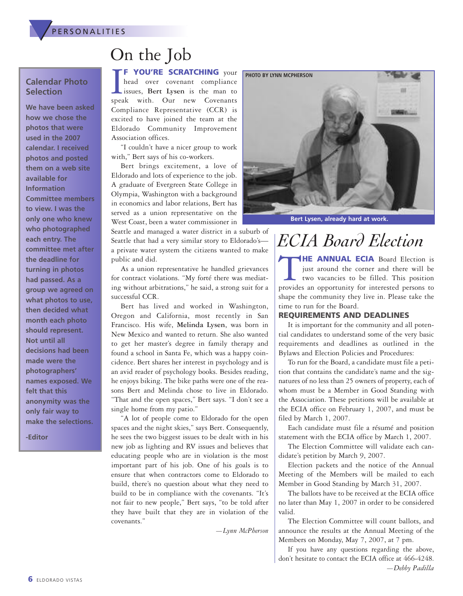

## On the Job

#### **Calendar Photo Selection**

**We have been asked how we chose the photos that were used in the 2007 calendar. I received photos and posted them on a web site available for Information Committee members to view. I was the only one who knew who photographed each entry. The committee met after the deadline for turning in photos had passed. As a group we agreed on what photos to use, then decided what month each photo should represent. Not until all decisions had been made were the photographers' names exposed. We felt that this anonymity was the only fair way to make the selections.**

**-Editor**

**THE SCRATCHING** your<br>head over covenant compliance<br>issues, Bert Lysen is the man to<br>speak with. Our new Covenants **F YOU'RE SCRATCHING** your head over covenant compliance issues, **Bert Lysen** is the man to Compliance Representative (CCR) is excited to have joined the team at the

Association offices. "I couldn't have a nicer group to work with," Bert says of his co-workers.

Eldorado Community Improvement

Bert brings excitement, a love of Eldorado and lots of experience to the job. A graduate of Evergreen State College in Olympia, Washington with a background in economics and labor relations, Bert has served as a union representative on the West Coast, been a water commissioner in

Seattle and managed a water district in a suburb of Seattle that had a very similar story to Eldorado's a private water system the citizens wanted to make public and did.

As a union representative he handled grievances for contract violations. "My forté there was mediating without arbitrations," he said, a strong suit for a successful CCR.

Bert has lived and worked in Washington, Oregon and California, most recently in San Francisco. His wife, **Melinda Lysen**, was born in New Mexico and wanted to return. She also wanted to get her master's degree in family therapy and found a school in Santa Fe, which was a happy coincidence. Bert shares her interest in psychology and is an avid reader of psychology books. Besides reading, he enjoys biking. The bike paths were one of the reasons Bert and Melinda chose to live in Eldorado. "That and the open spaces," Bert says. "I don't see a single home from my patio."

"A lot of people come to Eldorado for the open spaces and the night skies," says Bert. Consequently, he sees the two biggest issues to be dealt with in his new job as lighting and RV issues and believes that educating people who are in violation is the most important part of his job. One of his goals is to ensure that when contractors come to Eldorado to build, there's no question about what they need to build to be in compliance with the covenants. "It's not fair to new people," Bert says, "to be told after they have built that they are in violation of the covenants."

*—Lynn McPherson*



**Bert Lysen, already hard at work.**

## *ECIA Board Election*

T**HE ANNUAL ECIA** Board Election is just around the corner and there will be two vacancies to be filled. This position provides an opportunity for interested persons to shape the community they live in. Please take the time to run for the Board.

#### **REQUIREMENTS AND DEADLINES**

It is important for the community and all potential candidates to understand some of the very basic requirements and deadlines as outlined in the Bylaws and Election Policies and Procedures:

To run for the Board, a candidate must file a petition that contains the candidate's name and the signatures of no less than 25 owners of property, each of whom must be a Member in Good Standing with the Association. These petitions will be available at the ECIA office on February 1, 2007, and must be filed by March 1, 2007.

Each candidate must file a résumé and position statement with the ECIA office by March 1, 2007.

The Election Committee will validate each candidate's petition by March 9, 2007.

Election packets and the notice of the Annual Meeting of the Members will be mailed to each Member in Good Standing by March 31, 2007.

The ballots have to be received at the ECIA office no later than May 1, 2007 in order to be considered valid.

The Election Committee will count ballots, and announce the results at the Annual Meeting of the Members on Monday, May 7, 2007, at 7 pm.

If you have any questions regarding the above, don't hesitate to contact the ECIA office at 466-4248. *—Debby Padilla*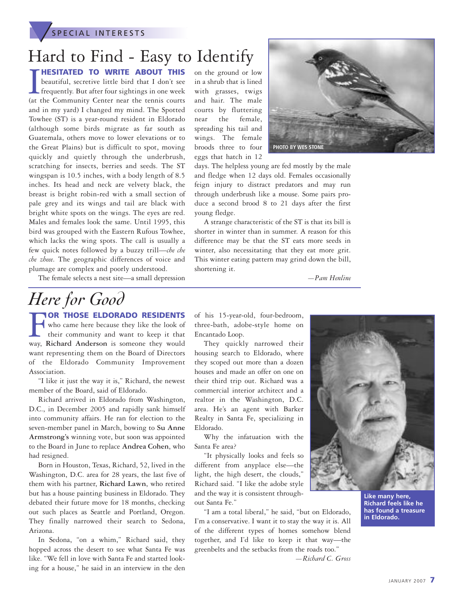**SPECIAL INTERESTS** 

## Hard to Find - Easy to Identify

**THESITATED TO WRITE ABOUT THIS**<br>beautiful, secretive little bird that I don't see<br>frequently. But after four sightings in one week<br>(at the Community Center near the tennis courts **HESITATED TO WRITE ABOUT THIS** beautiful, secretive little bird that I don't see frequently. But after four sightings in one week and in my yard) I changed my mind. The Spotted Towhee (ST) is a year-round resident in Eldorado (although some birds migrate as far south as Guatemala, others move to lower elevations or to the Great Plains) but is difficult to spot, moving quickly and quietly through the underbrush, scratching for insects, berries and seeds. The ST wingspan is 10.5 inches, with a body length of 8.5 inches. Its head and neck are velvety black, the breast is bright robin-red with a small section of pale grey and its wings and tail are black with bright white spots on the wings. The eyes are red. Males and females look the same. Until 1995, this bird was grouped with the Eastern Rufous Towhee, which lacks the wing spots. The call is usually a few quick notes followed by a buzzy trill—*che che che zheee*. The geographic differences of voice and plumage are complex and poorly understood.

on the ground or low in a shrub that is lined with grasses, twigs and hair. The male courts by fluttering near the female, spreading his tail and wings. The female broods three to four eggs that hatch in 12



days. The helpless young are fed mostly by the male and fledge when 12 days old. Females occasionally feign injury to distract predators and may run through underbrush like a mouse. Some pairs produce a second brood 8 to 21 days after the first young fledge.

A strange characteristic of the ST is that its bill is shorter in winter than in summer. A reason for this difference may be that the ST eats more seeds in winter, also necessitating that they eat more grit. This winter eating pattern may grind down the bill, shortening it.

*—Pam Henline*

#### The female selects a nest site—a small depression

## *Here for Good*

F**OR THOSE ELDORADO RESIDENTS** who came here because they like the look of their community and want to keep it that way, **Richard Anderson** is someone they would want representing them on the Board of Directors of the Eldorado Community Improvement Association.

"I like it just the way it is," Richard, the newest member of the Board, said of Eldorado.

Richard arrived in Eldorado from Washington, D.C., in December 2005 and rapidly sank himself into community affairs. He ran for election to the seven-member panel in March, bowing to **Su Anne Armstrong's** winning vote, but soon was appointed to the Board in June to replace **Andrea Cohen**, who had resigned.

Born in Houston, Texas, Richard, 52, lived in the Washington, D.C. area for 28 years, the last five of them with his partner, **Richard Lawn**, who retired but has a house painting business in Eldorado. They debated their future move for 18 months, checking out such places as Seattle and Portland, Oregon. They finally narrowed their search to Sedona, Arizona.

In Sedona, "on a whim," Richard said, they hopped across the desert to see what Santa Fe was like. "We fell in love with Santa Fe and started looking for a house," he said in an interview in the den

of his 15-year-old, four-bedroom, three-bath, adobe-style home on Encantado Loop.

They quickly narrowed their housing search to Eldorado, where they scoped out more than a dozen houses and made an offer on one on their third trip out. Richard was a commercial interior architect and a realtor in the Washington, D.C. area. He's an agent with Barker Realty in Santa Fe, specializing in Eldorado.

Why the infatuation with the Santa Fe area?

"It physically looks and feels so different from anyplace else—the light, the high desert, the clouds," Richard said. "I like the adobe style and the way it is consistent throughout Santa Fe."

"I am a total liberal," he said, "but on Eldorado, I'm a conservative. I want it to stay the way it is. All of the different types of homes somehow blend together, and I'd like to keep it that way—the greenbelts and the setbacks from the roads too."



**Like many here, Richard feels like he has found a treasure in Eldorado.**

*—Richard C. Gross*